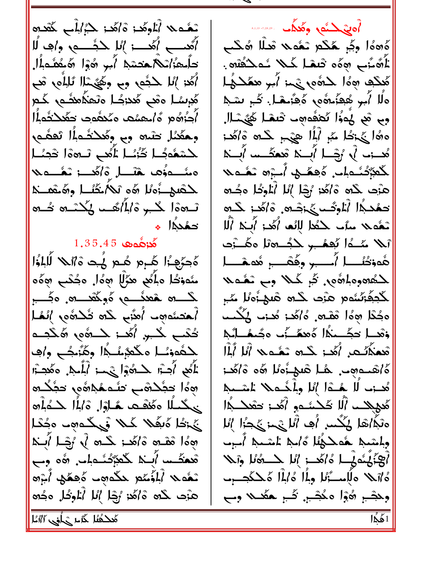تَعْدِيهِ أَنْمُوهُدْ وْأَهُدْ لِكَبِّرُابِكُمْ كَقْدَه أَهْبَبِ أَهْبَ: إِمَّا لِكَشِّيمٍ وَإِبْ لَا حَلَّمْتُوْاتْكَلَا هَجْتَنَبْهِ الْأَبْسِ وَهُوْا وَقَائِضُوْا الْمَرْجَعَةُ وَالْمَرْ أَهُدْ إِمَّا كَجُمْهِ مِمٍّ وِهَيَّمْاا تُلِلُّهِم مْعَ كَبِرْسُا وَمَى هُدَهُا وَتَعَذُهَفَ لَحْم أَجْرُهُم ٱلْمعشَف مَكْتُمِجَا حَقَلَاتُمِلَمَا وهفَّمْل حَسْنَ وج وِهَكْتُـمِلَا تَعْشَمِ للشفَهجُـا كُنُّـا لَمُعَى نَــ30\$ خَمْـا ەمئىسەۇھە ھتىسار ۋاڭھىسۇ تىقىسە لكَمِيجِ أَيْمَالَ هُوَ ٱللْأَمْتَطَا وَهَيْصَدَ حمُددُا \*  $1.35.45$   $\omega$  $\alpha$ هُجرِّهِ ۢٓا هُـٰڔِم هُـم هُـِ هُ ٱللا لَٰٓالِمُوْا مَّەوْتُـا ەلمُهَا ھَرَّالِ ھِەُل مَثْنَـــعِ ھِەَه

كمسره مقعنكسه ةوكتعسره وكمسبر أَحْصَنُه وهِ أَهْبَا لَا مَلْحَدُوهُ وَالْحُمَاءِ الْمُسَلَمَ تُحْمَى لَمْسِير أَهُد: ﴿ وَهُ مَنْ الْمَحْمَدِ لحَقُومُــا مكْعَبْسُـدًا وكُنْمَـب واڢ لْمُعَ أَحِبْنَ كَمُوْمٍ يَجِبْنَ أَبْلَيْهِ. وَهُدِّرَا وەُا حَجَّلْشَى طَبْعَهُلِهُو حَجَّلُــُد حَكَمَ الْمِنْ وَالْجَمَعَ مَسْتَمَرْهُمْ وَالْمَسْتَمْرِيرَ لَكُمْ مِعْظِينًا مُحَمَّلٍ مِنْ مَكْمَةٍ مِنْ الْمَحْمَدِينَ وَهُمْ هُشُدَهَ وْأَهْدَ حْدُوهِ ﴾ رُضًا أَبْتَدَ تَعْمَضُـسْ أَبْـٰهُ لَكُعَبِّرُضُـُـٰهِ لِمَنْ رَهُه وِب تَمُومِ ٱلْمُؤْمَّدُ لِمَكُونِ وَقِمَّلٍ ٱبْرُهِ 

log Lid gate. هُههُا وِجَرِ هَكُم تَعْمَدُ مَثَلًا هُكُب لْمُمَّنِّبِ وَهُوَ ثَعْمَا لَحْلاً شَمْلَتُفْتُو. كَمِكْمَهِ مِنْ الْمَرْقَ وِهِ مَا أَمْهِ هَكَمْهُمْ هِ اللَّهُ بِمُعَنِّمَهُمْ هُجَّمَعًا. كُبِّرَ سَبِّدًا وبِ هُيَ إِيهَاءُ الْمَفْعَةِ عَلَيْهِمْ الْمَهْلِ هُوَ بِهِ هُ أَيُّ تَطَ مِّيْهِ أَبْلَا هِيْمٍ كُنْ وَأَهْدَ مُحْسَنِ ﴾ رُجْسًا أَبِنَا مُحَصَّـبٍ أَبِنَاهِ كَعَبِّدُسُماء. هُهِمْسِ أَسْرُه مْعُسَمِهِ هَ بَ حَمْدَ وَاهُدْ رُجَّا ﴾مُا أَمْا وَخُا هَجُده حَمْدِيَا أَبْلُوتُـبِ يُهْتِـرَهِ. وْأَهْدَ كَـرَه تَحْدِيهِ سَلَاتِ لِكَمَا لِلنَّعَلِ أَهْدِ أَبْدَ أَلَلْهُ آلم سَّــدُا بُعمُــبِ لِكَـــــــــــهِ مَكَــــْبَ لمعُدود اللهُ مِنْ يُمْ يَكْلِمْ وَسَيْ سُهُدِيْهِ كُجِفَّتِسُّمِ مِنْفِ كُنْ مُنْهَنُّونُا سِّبِ ەكْدَا ھەر ئەتتىھ. دُاھَد ھىزما كېڭىس وْتَعِيا حَجَّــبَدًا هُمِمَّــَزَبِ وَجُبِمُــأَبَدٍ تَعْمَلُكُمْ أُهُدَ كُلُّهُ تَعُوهُ أَلْمَ أَبْلَ ەُ/ھَىــەبېـ ھُـا ھَىئى-ئُونُا بُهُو وْ/هُــز مُحبَّد لَا هُــْهَ إِلَىٰ وِلْمُــُـمِـلا لِمَــْمِـمِ كُعِهِكِما أَلَمْا خَكْسُمِهِ أَكْدِ حَقَلَكُمَا مَالَمَ انْجِرِيْرَ بَسِرَتَ النَّا بِهِ الْمَالَةِ الْمَالَةِ الْمَالَةِ الْمَالَةِ الْمَالَةِ الْ ولمشبه هُدحُهُمْ هُ/جُ لمُسْمِهِ أُسِرِب أَهْبَٰذُهُ صَالَ الْمَالِكَ ﴾ [الله عليه الله عنه الله عنه الله عنه الله عنه الله عنه الله عنه الله هُٱلْمَا وَلِلْمَسَّوَّلُ وَلَمَا وَلَمَا وَكُلُّكُمْ وَلَمَّا وَلَمَا وَكُلُّكُمْ وَلَمْ يَوْمِنُوا وحبْد وُوْل محْشَير کَے حکّد وب

مَلاهُمَا كَاما يَاوُلِيَ ٱلْأَمَا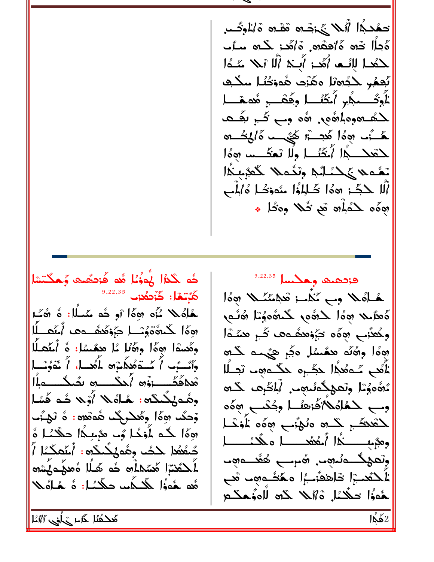حَمُّدَجًا أَأَلَا يَهْزَدُ هُدُه وَالْمُوَكَّب ەَجاًا خُمى ەُ، ھەم ۋاھد گە ساب لحكما للله أكد: أبنا ألَّا آلا تحاءًا لَّهِمُرِ لِلْكُلُّةِ الْمُنْزَى هُوزْتُنُا سِكْبُ لْمُوتَــــــبِكُبِرٍ ٱنْتَصُـــا وِهَمْــــبِ هُمِـمْـــا لْمُصُدُوهِ لِمُعْهَدٍ وَهُمْ وَسَبٍ كَسِبِ بِكَسِمَ هكُلُ مِنْ أَمْ الْمُجَسَّرَ الْمُجَسَّدِ مِنْ الْمُجَسَّدِ لِحْقِيْكُمْ الْمُنْشَيَا وِلَا تَعْشَــبِ 100 تَمُّمَد بِّكْسُلُهِ وَتَنْمَدُ كَعَبْرِبِنُهُ ا أَلَا حجَّـۃ 30% كَـالِمُوْا مِنُدوْكُـا 164ْب وَهُو كَهُلُوهِ ثَوْ ظُلا وَوَطُ \*

خَه لِكَمُل لِمَوُمُل هُم فَرْحَمُنِيهِ وَلِمَكْتَسْلَم  $\sum_{9,22,35}$  $\sum_{1}^{\infty}$  $\sum_{1}^{\infty}$ هُاهُ لا يُزُه هِهَا ٱو هُه سَمْلًا: هُ هُنَا وِهَا لَكُنُّةَوْتُسَلَّمَ جَزْوَهُنَّصُدُهُ ۖ أَمَنُعَسَلًا وكُعْسَةَا وَكَانَ لَمْ كُلّْ مَعْصَمًا: هُ أَعْكَمُلًا وَٱيۡــَبَ أَ يُـــٰٓةِ هُٰذُكُمْ وَ مِلۡ لَهُ حَــا ، أَ يُّهۡوُنَــا مَعْدَهُكُمْ ــــزْوْرَه أَحْكَمْــــده تصُكْــــدالُه وهُـولِكُـكُه: هُـاهُـلا أَوْلا شُـه فَسُـا وْحِكْ وْهَا وْهُلْدِيْكْ هُوْتُوهِ: ةَ لْهِنُّف وَوَّا كُـهِ لَمُؤْمَلِ وَجَا مَعْ مِلْمًا حَكْمُـلَ وَّ يَّىعُعُدا لمَـصُـ وهُمهْكُـمْدَه: أَسَّعَكْـُا أَ لَمْحَمَّدَ الْمُمَمَلِّ هُ هَا الْمَعْهُمِ مَمْ مُّد هُدُوا حَكَــمُب حكَنَــا: هُ هُــاهُــلا

فادهنه وهلسا المحمد هُاهُ لا وب نُمْسز تَعِيْمَنَكُمْ 10 هُهْلُمُ مِهْدًا لِحَقَّى لَحْدَةُهِ مَا مُحَمَّدٍ وَلَحَقَّنِي 300 كَزْوْهِشُمْعَةَ كَبِرِ هِمْشَةَ وهُ او وهُ مَعْسَلِ وَجْمِ هِيَ عَمَدَ مِنْ مِنْ مِنْ مِنْ لْمُعَى مُحمُّدُا حَجَّيْهِ حَكْمَةٍ تَجِبُّلَا مُثَوْمُوْتَا وتَعْمِكُونُيوْبِ ٱلْمُتَرَجِّدِ جَدْرَهِ وب للعُلْمُلاَكُوْهَا وِجُنْسٍ وَهُو لمقتضر كمده ونكئب ووه المؤكما وهؤمب خُمْلا أُمعُعُم الصَّحْمَد الصَّحْمَد ال وتعهك عندوب فمبي هُشــــــــووب لْمَكْعَبِ أَدْاهَفَزَعِ الْمَحْصُدِوبِ ثَعَبِ هُوُوا حِيْدُا وْأَلَمْهُ لَاهِ لِلْوَوْهِكُمْ

كَانَ مَعَامَلَ مَا مَعَامَلَ مِنْ الْمُسْمَعَةِ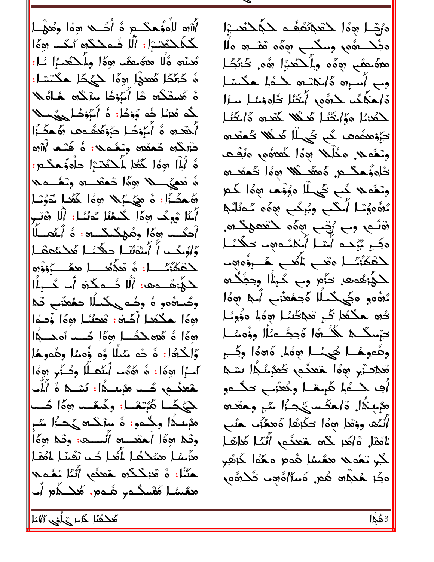أأته للْمُؤْهِكُ مْ أُكَّبْ هِمَّا وِمُدَيْبِ كَكُلْكُفْتَ إِ: أَلَّا ثُـمِكْدُه أَنْكُـب هِوَا مُعْتَبِهِ وَٱلْمَعْصَفَ وَوَا وِلْمَحْصَرَا سَا: هُ كَتْݣَا مُعمْلَ هِمَا حَيْكًا هكْتْسَا: ةً هَسْتَكُلُّه شَا أُمُّرْدُا سَآلَكُ هُـأَهُـلا لَّكَ مُحْزَمًا هُو وَوْهُا: ۞ أُمَرِّوْهُا حِيَّ صَلَّا أَحْقَدَهُ ۚ أُمُرۡوَٰكُمۡ دَرُوۡهُدَهُـدَهَ ۖ هُ حَكَّـٰٓ ٱ شَرْمَكُمْ شَعْفُلُهُ وَشَعْمَلًا: هُ كُسْعَهُ أَلْأَلَهُ هُ ﴾َلْمِلْل هِوُا كَفَعَل لِمُحْقَدَةٍ! حلْمُؤَحِكَــم: هُ تَعْمَىٰ اللَّهُ وَعَالَمَ صَفْحَ وَعْفُ مَهْ هَ هَدًا: هُ مِنْ بِلا هِهُ لَمَعْهِ تَوْسُلُ أَمَّلَا وَوِحَد «هَا گُلُّهُمُّا مُّوْسُا: أَلَّا «ْشَر أَحكُـــــد «هَا وهُـهِكُــدٌـــــــه: هُ أَسُوَــــلَلا وۡ)وۡٹَــٰ أَ ٱٖمَّۃَسَّـا حَكَّـُـا مَّكْـمَّعَمَّـا لِكَمْكُنْكُ إِن قُرْ هُكُمُ اللَّهُ وَوَوْدِهِ لِحُوْزِهُـــوهِ: أَلَّا ثُـــوكُرْهَ أَبِ كُــرِمُّا وحُصرُه وهُ وحُد حكْمِ الْمُسْلَمَ مِنْ مَثْلِ مِنْ وَجَدِينَ مِنْ اهَمَا هِكْعُدا أَكْــهَ: مَحْسُّل هِمَّا وَْحِــهُ| الْمِكْمَا وَ هُدَا هُمَا الْمَسْكُمَا الْمُسْكُمَا وَّالِكُلُّهَا: هُ شُه مَمْلًا وُه وُّهمُا وِهُموهُا أَسْرًا «هَا: هُ هُهُم أَمْلَكُمْ أَوْصُنُوا «هِهُا هَعِنُدو، حُسب مؤسسِمًا! تُسْلِمُ هُ أَلْمُد لْمَهْكُمْ هُبْتُهْمْا: وِكْتُفْتْ وَهْ أَكْتَبْ هؤسكا وكحو: هُ ستركته حُكتُما مَنْع وثَمْ هِوَا أَحْقَدُ لَا الْمَسْدَدِ وَثَمْ هِوَا هزَّمْما همَّكْمَا لِأَهْلِ حَبِّ تَعْمْلِ لِمُعْلِ هَنَّا: هُ مُزِكَّدُه هُعِنُو أَنَّمَا تَعُومِه ھگسُا كَشَيْدُور مُدَدِينَ مُلَيْدِينَ أَبْ

هُ وَجْمًا هِمَا لِحَقِيمَتُهُمْ صَدِّكَتَ مَنْ الْمَحْتَمَنِينَ الْمَحْتَمَنِينَ الْمَحْسَنَةِ الْ ەجْكسۇە مِىگىب بەۋە ھْسە ەلل مِتَمَعِمٌ وَوَى وِلِمَكْعَظِ اللَّهِ وَالْكُلَّامُ وب أسبره كالمكتسم لمستُها حكستنا ةُاهِنَكْتُ لِحَدُّى الْمَثَلَا خُلُوفِسُا سِدًا لمَعْبْدُا وَوَاخْتُمَا هُمْلًا كَعْدِهِ وَاخْتُمَا تَبَرْدْهِشُوهَا لَمْ يَكْسِلْلْ شَلْلا تَحْمَقْدِهِ وتَعُمِد وكُلُمْ مِوْا كَعِنْقُو وَيُقْعَد خَاهُوَهِكُمْ هُ مَعْصَلًا مِهُ الْحَمْعَمِ وَيْعُدِيْ شَيْءِ أَيْنِ الْمُؤْمَّدِينَ مِنْ الْمَحْمَرِ مُؤْدِيْرًا أَمكَبَ وِبُرِيْبِ وِهَءَ كَدَنُائِكِ هُنُم مِنْ رُجْبِ هِهُ لِكَعْمِكُ هِ. وَكِّمِ يُرْحِدُ أَسْلِ أَسْلَائِدُوهِ- حَلَّاسُل للفَقَنَّتُ أَمْسَحَ لِمُعْبِ هُــِبِفُوهِب للْهُوْهُمُوهِ. فَأَمْ وَبِ كُبِنَا وَحِفِّكُمْ مُشَوو وكَبِيكْساً وَجِعْعَبَٰبٍ أَمِهِ هِوَا خُمْ هَكُعُلْ ثَبِ مُدِكْسًا مِهْدَ وُوَسًا حرْسكُـــدْ لْكُـــرُهُ| هُججَـــمْلُوا وِذُهسُــا وهُموهُــا هُيمُــا هِمُدْ. هُههُ! وَكُــِرِ هَجْدَيْرِ وَوَٰا هُعِدُو كَعَبْرِسُـٰها سَـج أَبْ لِحَـــدُمْ هُرِيقَــا وِخُعَنْبٍ حَكَــدو هؤمبندًا. وْاهْتَكْسْدْ بْاجْزًا مْتّْبْرِ وْهْقْدْرُه ٱتَّمَٰىٰ وِوْتُوا 60\$ حَكَّرْهَا هُمْهُنَّفَ هِنَّب المُعْلِ وْاهُدِ حْمَدْ هُعْدُو، الْمُحَا هُلْهَا لَّكِيرِ تَمُّدَيْلا مَشْمَالِ مُدْمَّرِ مَكْدًا لَكَرْمُو وَجَز هُدِيَّاه هُمْ. ةَسَأَلْقُوهِ- ثَكْلَقُومِ

مَحْكُمُا حَامَ مِنْ أَسْتَمَاهَ